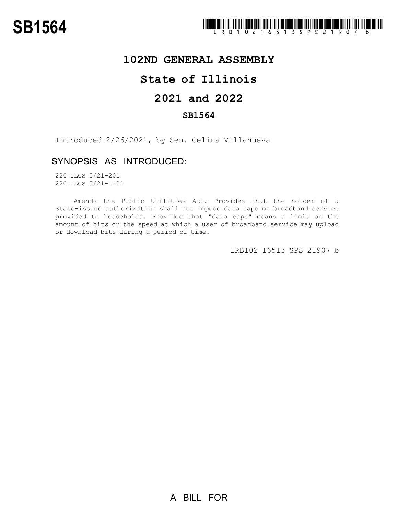

## **102ND GENERAL ASSEMBLY**

# **State of Illinois**

# **2021 and 2022**

### **SB1564**

Introduced 2/26/2021, by Sen. Celina Villanueva

### SYNOPSIS AS INTRODUCED:

220 ILCS 5/21-201 220 ILCS 5/21-1101

Amends the Public Utilities Act. Provides that the holder of a State-issued authorization shall not impose data caps on broadband service provided to households. Provides that "data caps" means a limit on the amount of bits or the speed at which a user of broadband service may upload or download bits during a period of time.

LRB102 16513 SPS 21907 b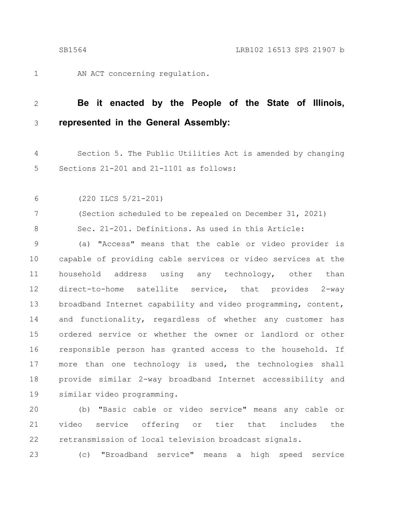1

AN ACT concerning regulation.

#### **Be it enacted by the People of the State of Illinois, represented in the General Assembly:** 2 3

Section 5. The Public Utilities Act is amended by changing Sections 21-201 and 21-1101 as follows: 4 5

(220 ILCS 5/21-201) 6

(Section scheduled to be repealed on December 31, 2021) Sec. 21-201. Definitions. As used in this Article: 7 8

(a) "Access" means that the cable or video provider is capable of providing cable services or video services at the household address using any technology, other than direct-to-home satellite service, that provides 2-way broadband Internet capability and video programming, content, and functionality, regardless of whether any customer has ordered service or whether the owner or landlord or other responsible person has granted access to the household. If more than one technology is used, the technologies shall provide similar 2-way broadband Internet accessibility and similar video programming. 9 10 11 12 13 14 15 16 17 18 19

(b) "Basic cable or video service" means any cable or video service offering or tier that includes the retransmission of local television broadcast signals. 20 21 22

(c) "Broadband service" means a high speed service 23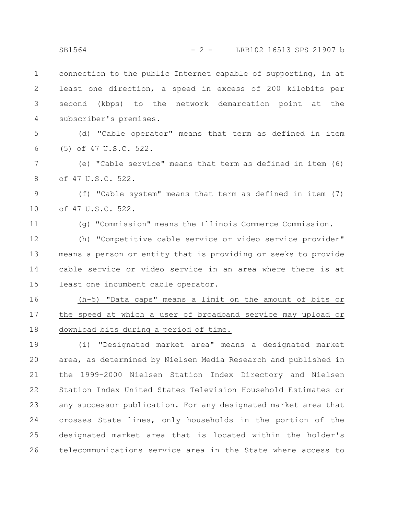connection to the public Internet capable of supporting, in at least one direction, a speed in excess of 200 kilobits per second (kbps) to the network demarcation point at the subscriber's premises. 1 2 3 4

(d) "Cable operator" means that term as defined in item (5) of 47 U.S.C. 522. 5 6

(e) "Cable service" means that term as defined in item (6) of 47 U.S.C. 522. 7 8

(f) "Cable system" means that term as defined in item (7) of 47 U.S.C. 522. 9 10

11

(g) "Commission" means the Illinois Commerce Commission.

(h) "Competitive cable service or video service provider" means a person or entity that is providing or seeks to provide cable service or video service in an area where there is at least one incumbent cable operator. 12 13 14 15

(h-5) "Data caps" means a limit on the amount of bits or the speed at which a user of broadband service may upload or download bits during a period of time. 16 17 18

(i) "Designated market area" means a designated market area, as determined by Nielsen Media Research and published in the 1999-2000 Nielsen Station Index Directory and Nielsen Station Index United States Television Household Estimates or any successor publication. For any designated market area that crosses State lines, only households in the portion of the designated market area that is located within the holder's telecommunications service area in the State where access to 19 20 21 22 23 24 25 26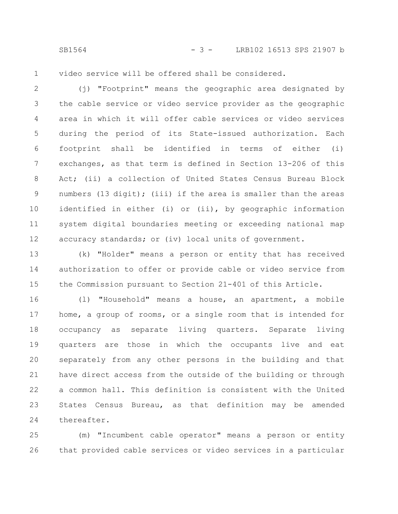SB1564 - 3 - LRB102 16513 SPS 21907 b

video service will be offered shall be considered. 1

(j) "Footprint" means the geographic area designated by the cable service or video service provider as the geographic area in which it will offer cable services or video services during the period of its State-issued authorization. Each footprint shall be identified in terms of either (i) exchanges, as that term is defined in Section 13-206 of this Act; (ii) a collection of United States Census Bureau Block numbers (13 digit); (iii) if the area is smaller than the areas identified in either (i) or (ii), by geographic information system digital boundaries meeting or exceeding national map accuracy standards; or (iv) local units of government. 2 3 4 5 6 7 8 9 10 11 12

(k) "Holder" means a person or entity that has received authorization to offer or provide cable or video service from the Commission pursuant to Section 21-401 of this Article. 13 14 15

(l) "Household" means a house, an apartment, a mobile home, a group of rooms, or a single room that is intended for occupancy as separate living quarters. Separate living quarters are those in which the occupants live and eat separately from any other persons in the building and that have direct access from the outside of the building or through a common hall. This definition is consistent with the United States Census Bureau, as that definition may be amended thereafter. 16 17 18 19 20 21 22 23 24

(m) "Incumbent cable operator" means a person or entity that provided cable services or video services in a particular 25 26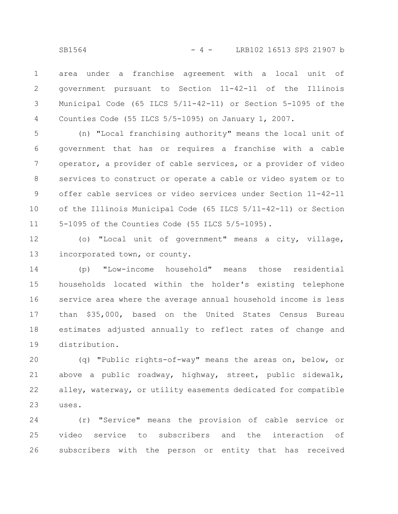area under a franchise agreement with a local unit of government pursuant to Section 11-42-11 of the Illinois Municipal Code (65 ILCS 5/11-42-11) or Section 5-1095 of the Counties Code (55 ILCS 5/5-1095) on January 1, 2007. 1 2 3 4

(n) "Local franchising authority" means the local unit of government that has or requires a franchise with a cable operator, a provider of cable services, or a provider of video services to construct or operate a cable or video system or to offer cable services or video services under Section 11-42-11 of the Illinois Municipal Code (65 ILCS 5/11-42-11) or Section 5-1095 of the Counties Code (55 ILCS 5/5-1095). 5 6 7 8 9 10 11

(o) "Local unit of government" means a city, village, incorporated town, or county. 12 13

(p) "Low-income household" means those residential households located within the holder's existing telephone service area where the average annual household income is less than \$35,000, based on the United States Census Bureau estimates adjusted annually to reflect rates of change and distribution. 14 15 16 17 18 19

(q) "Public rights-of-way" means the areas on, below, or above a public roadway, highway, street, public sidewalk, alley, waterway, or utility easements dedicated for compatible uses. 20 21 22 23

(r) "Service" means the provision of cable service or video service to subscribers and the interaction of subscribers with the person or entity that has received 24 25 26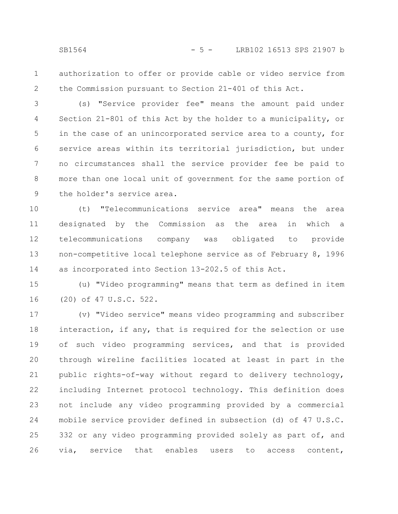authorization to offer or provide cable or video service from the Commission pursuant to Section 21-401 of this Act. 1 2

(s) "Service provider fee" means the amount paid under Section 21-801 of this Act by the holder to a municipality, or in the case of an unincorporated service area to a county, for service areas within its territorial jurisdiction, but under no circumstances shall the service provider fee be paid to more than one local unit of government for the same portion of the holder's service area. 3 4 5 6 7 8 9

(t) "Telecommunications service area" means the area designated by the Commission as the area in which a telecommunications company was obligated to provide non-competitive local telephone service as of February 8, 1996 as incorporated into Section 13-202.5 of this Act. 10 11 12 13 14

(u) "Video programming" means that term as defined in item (20) of 47 U.S.C. 522. 15 16

(v) "Video service" means video programming and subscriber interaction, if any, that is required for the selection or use of such video programming services, and that is provided through wireline facilities located at least in part in the public rights-of-way without regard to delivery technology, including Internet protocol technology. This definition does not include any video programming provided by a commercial mobile service provider defined in subsection (d) of 47 U.S.C. 332 or any video programming provided solely as part of, and via, service that enables users to access content, 17 18 19 20 21 22 23 24 25 26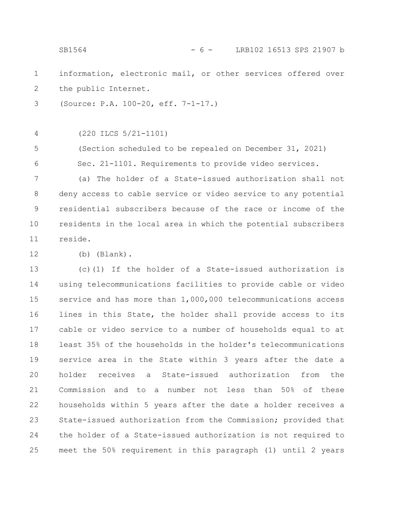information, electronic mail, or other services offered over the public Internet. (Source: P.A. 100-20, eff. 7-1-17.) (220 ILCS 5/21-1101) (Section scheduled to be repealed on December 31, 2021) Sec. 21-1101. Requirements to provide video services. (a) The holder of a State-issued authorization shall not deny access to cable service or video service to any potential residential subscribers because of the race or income of the residents in the local area in which the potential subscribers reside. (b) (Blank). (c)(1) If the holder of a State-issued authorization is using telecommunications facilities to provide cable or video service and has more than 1,000,000 telecommunications access lines in this State, the holder shall provide access to its cable or video service to a number of households equal to at least 35% of the households in the holder's telecommunications service area in the State within 3 years after the date a holder receives a State-issued authorization from the Commission and to a number not less than 50% of these households within 5 years after the date a holder receives a State-issued authorization from the Commission; provided that the holder of a State-issued authorization is not required to 1 2 3 4 5 6 7 8 9 10 11 12 13 14 15 16 17 18 19 20 21 22 23 24 SB1564 - 6 - LRB102 16513 SPS 21907 b

meet the 50% requirement in this paragraph (1) until 2 years

25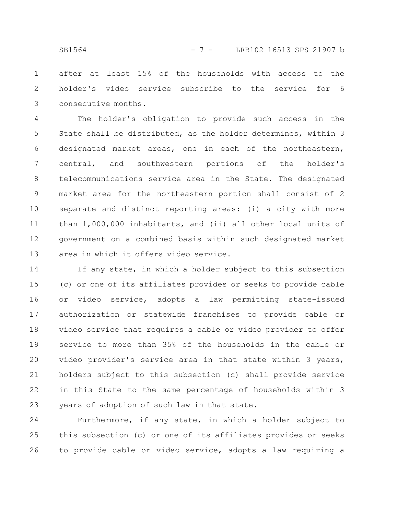after at least 15% of the households with access to the holder's video service subscribe to the service for 6 consecutive months. 1 2 3

The holder's obligation to provide such access in the State shall be distributed, as the holder determines, within 3 designated market areas, one in each of the northeastern, central, and southwestern portions of the holder's telecommunications service area in the State. The designated market area for the northeastern portion shall consist of 2 separate and distinct reporting areas: (i) a city with more than 1,000,000 inhabitants, and (ii) all other local units of government on a combined basis within such designated market area in which it offers video service. 4 5 6 7 8 9 10 11 12 13

If any state, in which a holder subject to this subsection (c) or one of its affiliates provides or seeks to provide cable or video service, adopts a law permitting state-issued authorization or statewide franchises to provide cable or video service that requires a cable or video provider to offer service to more than 35% of the households in the cable or video provider's service area in that state within 3 years, holders subject to this subsection (c) shall provide service in this State to the same percentage of households within 3 years of adoption of such law in that state. 14 15 16 17 18 19 20 21 22 23

Furthermore, if any state, in which a holder subject to this subsection (c) or one of its affiliates provides or seeks to provide cable or video service, adopts a law requiring a 24 25 26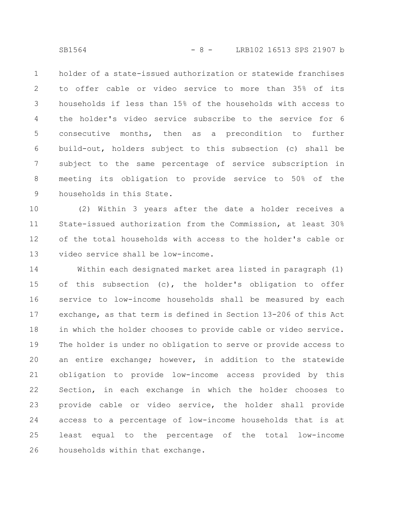holder of a state-issued authorization or statewide franchises to offer cable or video service to more than 35% of its households if less than 15% of the households with access to the holder's video service subscribe to the service for 6 consecutive months, then as a precondition to further build-out, holders subject to this subsection (c) shall be subject to the same percentage of service subscription in meeting its obligation to provide service to 50% of the households in this State. 1 2 3 4 5 6 7 8 9

(2) Within 3 years after the date a holder receives a State-issued authorization from the Commission, at least 30% of the total households with access to the holder's cable or video service shall be low-income. 10 11 12 13

Within each designated market area listed in paragraph (1) of this subsection (c), the holder's obligation to offer service to low-income households shall be measured by each exchange, as that term is defined in Section 13-206 of this Act in which the holder chooses to provide cable or video service. The holder is under no obligation to serve or provide access to an entire exchange; however, in addition to the statewide obligation to provide low-income access provided by this Section, in each exchange in which the holder chooses to provide cable or video service, the holder shall provide access to a percentage of low-income households that is at least equal to the percentage of the total low-income households within that exchange. 14 15 16 17 18 19 20 21 22 23 24 25 26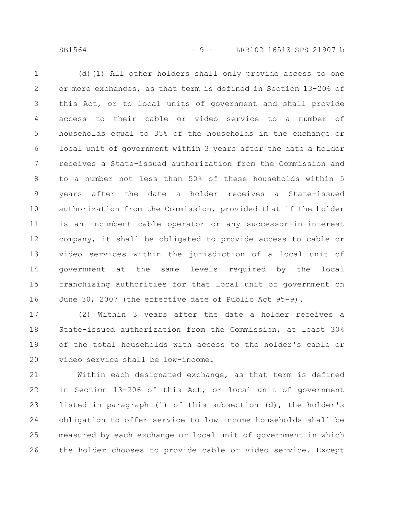SB1564 - 9 - LRB102 16513 SPS 21907 b

(d)(1) All other holders shall only provide access to one or more exchanges, as that term is defined in Section 13-206 of this Act, or to local units of government and shall provide access to their cable or video service to a number of households equal to 35% of the households in the exchange or local unit of government within 3 years after the date a holder receives a State-issued authorization from the Commission and to a number not less than 50% of these households within 5 years after the date a holder receives a State-issued authorization from the Commission, provided that if the holder is an incumbent cable operator or any successor-in-interest company, it shall be obligated to provide access to cable or video services within the jurisdiction of a local unit of government at the same levels required by the local franchising authorities for that local unit of government on June 30, 2007 (the effective date of Public Act 95-9). 1 2 3 4 5 6 7 8 9 10 11 12 13 14 15 16

(2) Within 3 years after the date a holder receives a State-issued authorization from the Commission, at least 30% of the total households with access to the holder's cable or video service shall be low-income. 17 18 19 20

Within each designated exchange, as that term is defined in Section 13-206 of this Act, or local unit of government listed in paragraph (1) of this subsection (d), the holder's obligation to offer service to low-income households shall be measured by each exchange or local unit of government in which the holder chooses to provide cable or video service. Except 21 22 23 24 25 26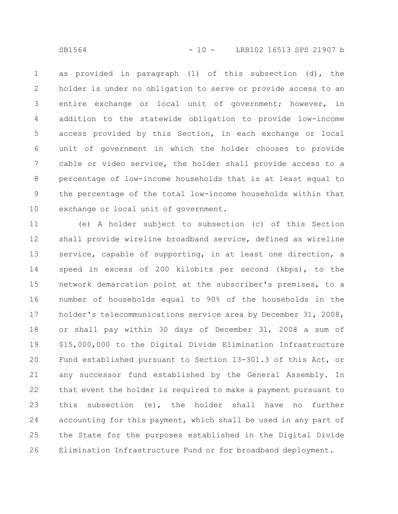as provided in paragraph (1) of this subsection (d), the holder is under no obligation to serve or provide access to an entire exchange or local unit of government; however, in addition to the statewide obligation to provide low-income access provided by this Section, in each exchange or local unit of government in which the holder chooses to provide cable or video service, the holder shall provide access to a percentage of low-income households that is at least equal to the percentage of the total low-income households within that exchange or local unit of government. 1 2 3 4 5 6 7 8 9 10

(e) A holder subject to subsection (c) of this Section shall provide wireline broadband service, defined as wireline service, capable of supporting, in at least one direction, a speed in excess of 200 kilobits per second (kbps), to the network demarcation point at the subscriber's premises, to a number of households equal to 90% of the households in the holder's telecommunications service area by December 31, 2008, or shall pay within 30 days of December 31, 2008 a sum of \$15,000,000 to the Digital Divide Elimination Infrastructure Fund established pursuant to Section 13-301.3 of this Act, or any successor fund established by the General Assembly. In that event the holder is required to make a payment pursuant to this subsection (e), the holder shall have no further accounting for this payment, which shall be used in any part of the State for the purposes established in the Digital Divide Elimination Infrastructure Fund or for broadband deployment. 11 12 13 14 15 16 17 18 19 20 21 22 23 24 25 26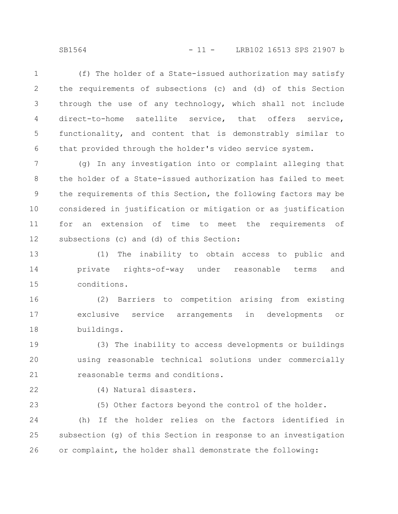SB1564 - 11 - LRB102 16513 SPS 21907 b

(f) The holder of a State-issued authorization may satisfy the requirements of subsections (c) and (d) of this Section through the use of any technology, which shall not include direct-to-home satellite service, that offers service, functionality, and content that is demonstrably similar to that provided through the holder's video service system. 1 2 3 4 5 6

(g) In any investigation into or complaint alleging that the holder of a State-issued authorization has failed to meet the requirements of this Section, the following factors may be considered in justification or mitigation or as justification for an extension of time to meet the requirements of subsections (c) and (d) of this Section: 7 8 9 10 11 12

(1) The inability to obtain access to public and private rights-of-way under reasonable terms and conditions. 13 14 15

(2) Barriers to competition arising from existing exclusive service arrangements in developments or buildings. 16 17 18

(3) The inability to access developments or buildings using reasonable technical solutions under commercially reasonable terms and conditions. 19 20 21

22

23

(4) Natural disasters.

(5) Other factors beyond the control of the holder.

(h) If the holder relies on the factors identified in subsection (g) of this Section in response to an investigation or complaint, the holder shall demonstrate the following: 24 25 26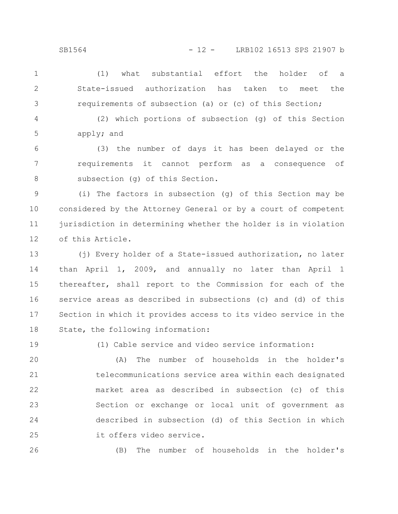- (1) what substantial effort the holder of a State-issued authorization has taken to meet the requirements of subsection (a) or (c) of this Section; 1 2 3
- (2) which portions of subsection (g) of this Section apply; and 4 5

(3) the number of days it has been delayed or the requirements it cannot perform as a consequence of subsection (g) of this Section. 6 7 8

(i) The factors in subsection (g) of this Section may be considered by the Attorney General or by a court of competent jurisdiction in determining whether the holder is in violation of this Article. 9 10 11 12

(j) Every holder of a State-issued authorization, no later than April 1, 2009, and annually no later than April 1 thereafter, shall report to the Commission for each of the service areas as described in subsections (c) and (d) of this Section in which it provides access to its video service in the State, the following information: 13 14 15 16 17 18

19

(1) Cable service and video service information:

(A) The number of households in the holder's telecommunications service area within each designated market area as described in subsection (c) of this Section or exchange or local unit of government as described in subsection (d) of this Section in which it offers video service. 20 21 22 23 24 25

26

(B) The number of households in the holder's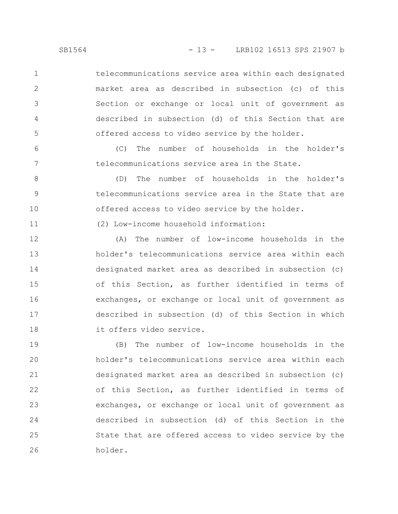telecommunications service area within each designated market area as described in subsection (c) of this Section or exchange or local unit of government as described in subsection (d) of this Section that are offered access to video service by the holder.

(C) The number of households in the holder's telecommunications service area in the State.

(D) The number of households in the holder's telecommunications service area in the State that are offered access to video service by the holder. 8 9 10

(2) Low-income household information:

(A) The number of low-income households in the holder's telecommunications service area within each designated market area as described in subsection (c) of this Section, as further identified in terms of exchanges, or exchange or local unit of government as described in subsection (d) of this Section in which it offers video service. 12 13 14 15 16 17 18

(B) The number of low-income households in the holder's telecommunications service area within each designated market area as described in subsection (c) of this Section, as further identified in terms of exchanges, or exchange or local unit of government as described in subsection (d) of this Section in the State that are offered access to video service by the holder. 19 20 21 22 23 24 25 26

1

2

3

4

5

6

7

11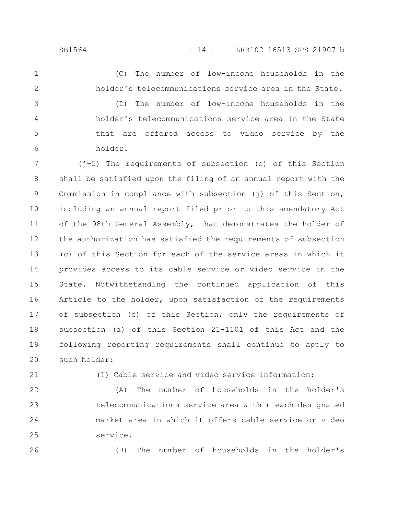(C) The number of low-income households in the holder's telecommunications service area in the State. (D) The number of low-income households in the 1 2 3

holder's telecommunications service area in the State that are offered access to video service by the holder. 4 5 6

(j-5) The requirements of subsection (c) of this Section shall be satisfied upon the filing of an annual report with the Commission in compliance with subsection (j) of this Section, including an annual report filed prior to this amendatory Act of the 98th General Assembly, that demonstrates the holder of the authorization has satisfied the requirements of subsection (c) of this Section for each of the service areas in which it provides access to its cable service or video service in the State. Notwithstanding the continued application of this Article to the holder, upon satisfaction of the requirements of subsection (c) of this Section, only the requirements of subsection (a) of this Section 21-1101 of this Act and the following reporting requirements shall continue to apply to such holder: 7 8 9 10 11 12 13 14 15 16 17 18 19 20

21

(1) Cable service and video service information:

(A) The number of households in the holder's telecommunications service area within each designated market area in which it offers cable service or video service. 22 23 24 25

26

(B) The number of households in the holder's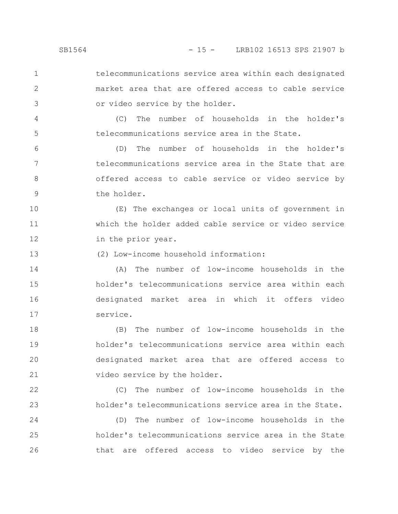telecommunications service area within each designated market area that are offered access to cable service 1 2

or video service by the holder.

(C) The number of households in the holder's telecommunications service area in the State.

(D) The number of households in the holder's telecommunications service area in the State that are offered access to cable service or video service by the holder. 6 7 8 9

(E) The exchanges or local units of government in which the holder added cable service or video service in the prior year. 10 11 12

(2) Low-income household information: 13

(A) The number of low-income households in the holder's telecommunications service area within each designated market area in which it offers video service. 14 15 16 17

(B) The number of low-income households in the holder's telecommunications service area within each designated market area that are offered access to video service by the holder. 18 19 20 21

(C) The number of low-income households in the holder's telecommunications service area in the State.

(D) The number of low-income households in the holder's telecommunications service area in the State that are offered access to video service by the 24 25 26

3

4

5

22

23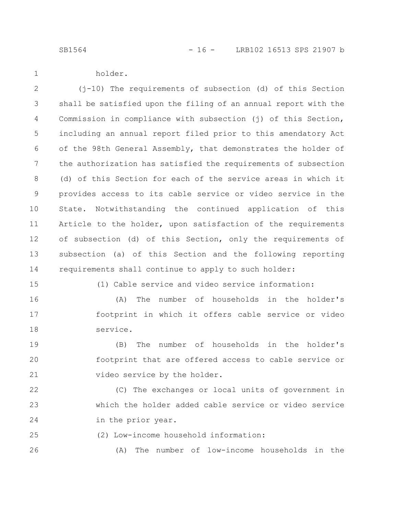SB1564 - 16 - LRB102 16513 SPS 21907 b

holder.

1

(j-10) The requirements of subsection (d) of this Section shall be satisfied upon the filing of an annual report with the Commission in compliance with subsection (j) of this Section, including an annual report filed prior to this amendatory Act of the 98th General Assembly, that demonstrates the holder of the authorization has satisfied the requirements of subsection (d) of this Section for each of the service areas in which it provides access to its cable service or video service in the State. Notwithstanding the continued application of this Article to the holder, upon satisfaction of the requirements of subsection (d) of this Section, only the requirements of subsection (a) of this Section and the following reporting requirements shall continue to apply to such holder: 2 3 4 5 6 7 8 9 10 11 12 13 14

15

(1) Cable service and video service information:

(A) The number of households in the holder's footprint in which it offers cable service or video service. 16 17 18

(B) The number of households in the holder's footprint that are offered access to cable service or video service by the holder. 19 20 21

(C) The exchanges or local units of government in which the holder added cable service or video service in the prior year. 22 23 24

(2) Low-income household information: 25

(A) The number of low-income households in the 26